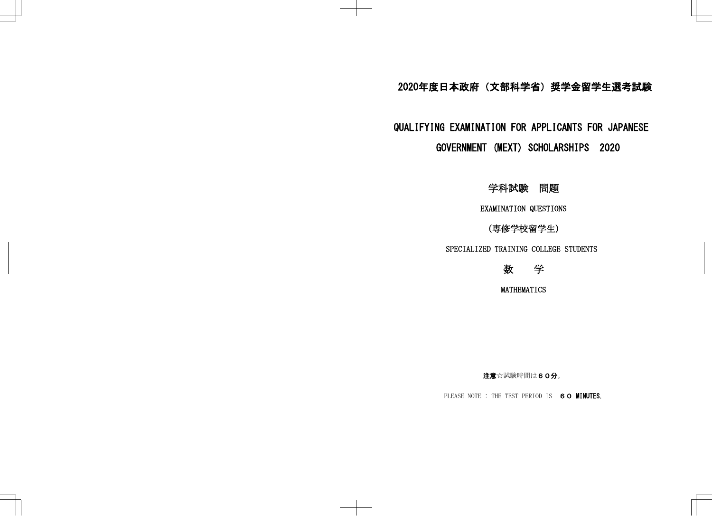## 2020年度日本政府(文部科学省)奨学金留学生選考試験

## QUALIFYING EXAMINATION FOR APPLICANTS FOR JAPANESE GOVERNMENT (MEXT) SCHOLARSHIPS 2020

学科試験 問題

EXAMINATION QUESTIONS

(専修学校留学生)

SPECIALIZED TRAINING COLLEGE STUDENTS



MATHEMATICS

注意☆試験時間は60分。

PLEASE NOTE : THE TEST PERIOD IS 60 MINUTES.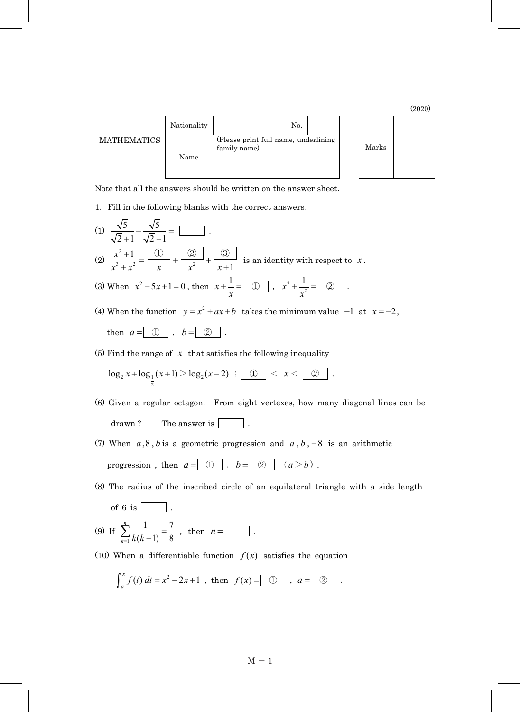(2020)

| <b>MATHEMATICS</b> | Nationality |                                                      | No. |  |
|--------------------|-------------|------------------------------------------------------|-----|--|
|                    | Name        | (Please print full name, underlining<br>family name) |     |  |



Note that all the answers should be written on the answer sheet.

1.Fill in the following blanks with the correct answers.

(1) 
$$
\frac{\sqrt{5}}{\sqrt{2}+1} - \frac{\sqrt{5}}{\sqrt{2}-1} =
$$
   
\n(2)  $\frac{x^2+1}{x^3+x^2} = \frac{\boxed{0}}{x} + \frac{\boxed{2}}{x^2} + \frac{\boxed{3}}{x+1}$  is an identity with respect to  $x$ .  
\n(3) When  $x^2 - 5x + 1 = 0$ , then  $x + \frac{1}{x} = \boxed{0}$ ,  $x^2 + \frac{1}{x^2} = \boxed{2}$ .  
\n(4) When the function  $y = x^2 + ax + b$  takes the minimum value  $-1$  at  $x = -2$ , then  $a = \boxed{0}$ ,  $b = \boxed{2}$ .

(5) Find the range of  $\bar{x}$  that satisfies the following inequality

$$
\log_2 x + \log_{\frac{1}{2}}(x+1) > \log_2(x-2) \;\; ; \;\; \fbox{1.5cm} < x < \fbox{2.5cm}.
$$

- (6) Given a regular octagon. From eight vertexes, how many diagonal lines can be drawn ? The answer is  $\boxed{\phantom{1}}$ .
- (7) When  $a, 8, b$  is a geometric progression and  $a, b, -8$  is an arithmetic progression , then  $a = \boxed{0}$  ,  $b = \boxed{\oslash}$   $(a > b)$  .
- (8) The radius of the inscribed circle of an equilateral triangle with a side length
	- of 6 is  $\boxed{\qquad}$ .

(9) If 
$$
\sum_{k=1}^{n} \frac{1}{k(k+1)} = \frac{7}{8}
$$
, then  $n =$ 

(10) When a differentiable function  $f(x)$  satisfies the equation

$$
\int_a^x f(t) dt = x^2 - 2x + 1
$$
, then  $f(x) = \boxed{0}$ ,  $a = \boxed{2}$ .